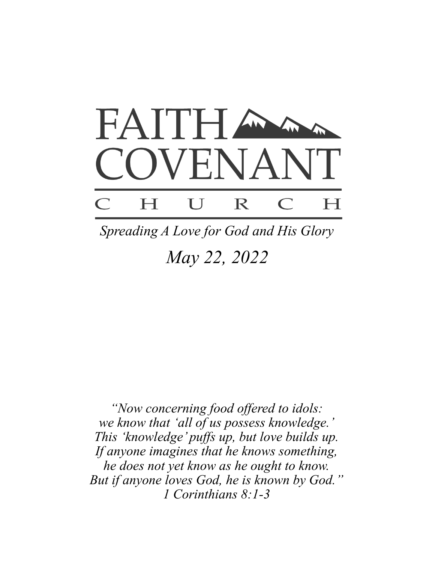

*May 22, 2022 Spreading A Love for God and His Glory*

*"Now concerning food offered to idols: we know that 'all of us possess knowledge.' This 'knowledge' puffs up, but love builds up. If anyone imagines that he knows something, he does not yet know as he ought to know. But if anyone loves God, he is known by God." 1 Corinthians 8:1-3*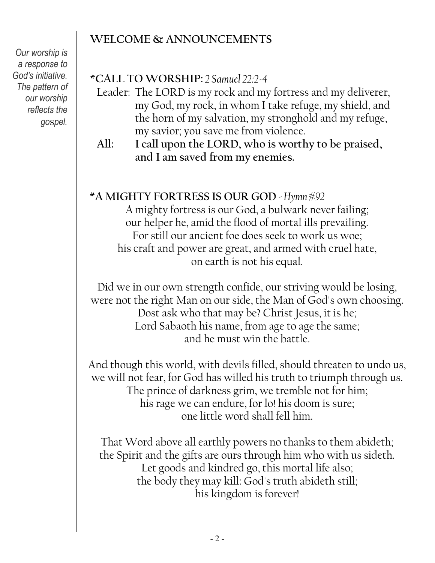## **WELCOME & ANNOUNCEMENTS**

*Our worship is a response to God's initiative. The pattern of our worship reflects the go*s*pel.*

### \***CALL TO WORSHIP:** *2 Samuel 22:2-4*

- Leader: The LORD is my rock and my fortress and my deliverer, my God, my rock, in whom I take refuge, my shield, and the horn of my salvation, my stronghold and my refuge, my savior; you save me from violence.
- **All: I call upon the LORD, who is worthy to be praised, and I am saved from my enemies.**

### **\*A MIGHTY FORTRESS IS OUR GOD** *- Hymn #92*

A mighty fortress is our God, a bulwark never failing; our helper he, amid the flood of mortal ills prevailing. For still our ancient foe does seek to work us woe; his craft and power are great, and armed with cruel hate, on earth is not his equal.

Did we in our own strength confide, our striving would be losing, were not the right Man on our side, the Man of God's own choosing. Dost ask who that may be? Christ Jesus, it is he; Lord Sabaoth his name, from age to age the same; and he must win the battle.

And though this world, with devils filled, should threaten to undo us, we will not fear, for God has willed his truth to triumph through us. The prince of darkness grim, we tremble not for him; his rage we can endure, for lo! his doom is sure; one little word shall fell him.

That Word above all earthly powers no thanks to them abideth; the Spirit and the gifts are ours through him who with us sideth. Let goods and kindred go, this mortal life also; the body they may kill: God's truth abideth still; his kingdom is forever!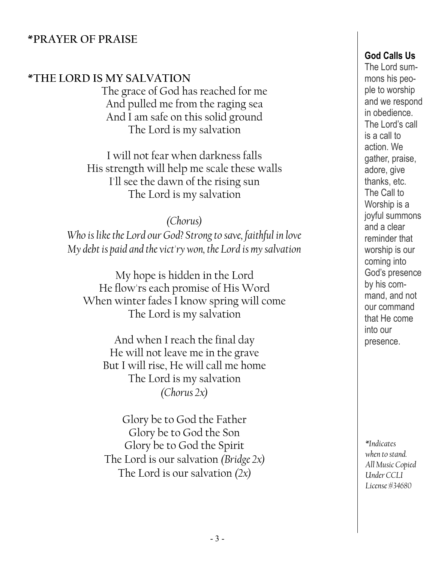#### **\*PRAYER OF PRAISE**

#### **\*THE LORD IS MY SALVATION**

The grace of God has reached for me And pulled me from the raging sea And I am safe on this solid ground The Lord is my salvation

I will not fear when darkness falls His strength will help me scale these walls I'll see the dawn of the rising sun The Lord is my salvation

*(Chorus)*

*Who is like the Lord our God? Strong to save, faithful in love My debt is paid and the vict'ry won, the Lord is my salvation*

My hope is hidden in the Lord He flow'rs each promise of His Word When winter fades I know spring will come The Lord is my salvation

And when I reach the final day He will not leave me in the grave But I will rise, He will call me home The Lord is my salvation *(Chorus 2x)*

Glory be to God the Father Glory be to God the Son Glory be to God the Spirit The Lord is our salvation *(Bridge 2x)*  The Lord is our salvation *(2x)* 

#### **God Calls Us**

The Lord summons his people to worship and we respond in obedience. The Lord's call is a call to action. We gather, praise, adore, give thanks, etc. The Call to Worship is a joyful summons and a clear reminder that worship is our coming into God's presence by his command, and not our command that He come into our presence.

*\*Indicates when to stand. All Music Copied Under CCLI License #34680*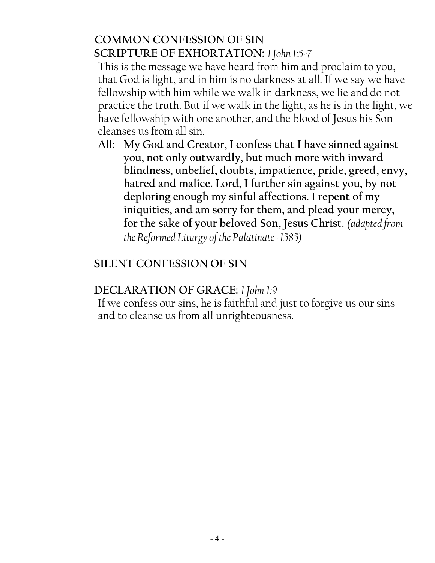# **COMMON CONFESSION OF SIN SCRIPTURE OF EXHORTATION:** *1 John 1:5-7*

This is the message we have heard from him and proclaim to you, that God is light, and in him is no darkness at all. If we say we have fellowship with him while we walk in darkness, we lie and do not practice the truth. But if we walk in the light, as he is in the light, we have fellowship with one another, and the blood of Jesus his Son cleanses us from all sin.

**All: My God and Creator, I confess that I have sinned against you, not only outwardly, but much more with inward blindness, unbelief, doubts, impatience, pride, greed, envy, hatred and malice. Lord, I further sin against you, by not deploring enough my sinful affections. I repent of my iniquities, and am sorry for them, and plead your mercy, for the sake of your beloved Son, Jesus Christ.** *(adapted from the Reformed Liturgy of the Palatinate -1585)* 

## **SILENT CONFESSION OF SIN**

## **DECLARATION OF GRACE:** *1 John 1:9*

If we confess our sins, he is faithful and just to forgive us our sins and to cleanse us from all unrighteousness.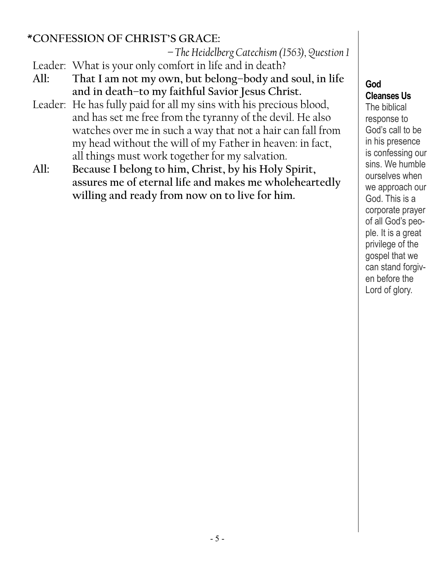## **\*CONFESSION OF CHRIST'S GRACE:**

**–** *The Heidelberg Catechism (1563), Question 1*

Leader: What is your only comfort in life and in death?

- **All: That I am not my own, but belong–body and soul, in life and in death–to my faithful Savior Jesus Christ.**
- Leader: He has fully paid for all my sins with his precious blood, and has set me free from the tyranny of the devil. He also watches over me in such a way that not a hair can fall from my head without the will of my Father in heaven: in fact, all things must work together for my salvation.
- **All: Because I belong to him, Christ, by his Holy Spirit, assures me of eternal life and makes me wholeheartedly willing and ready from now on to live for him.**

#### **God Cleanses Us**

The biblical response to God's call to be in his presence is confessing our sins. We humble ourselves when we approach our God. This is a corporate prayer of all God's people. It is a great privilege of the gospel that we can stand forgiven before the Lord of glory.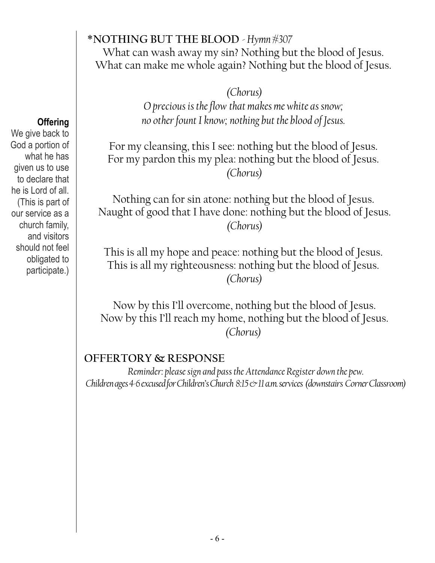### \***NOTHING BUT THE BLOOD** *- Hymn #307*

What can wash away my sin? Nothing but the blood of Jesus. What can make me whole again? Nothing but the blood of Jesus.

> *(Chorus) O precious is the flow that makes me white as snow; no other fount I know; nothing but the blood of Jesus.*

For my cleansing, this I see: nothing but the blood of Jesus. For my pardon this my plea: nothing but the blood of Jesus. *(Chorus)*

Nothing can for sin atone: nothing but the blood of Jesus. Naught of good that I have done: nothing but the blood of Jesus. *(Chorus)* 

This is all my hope and peace: nothing but the blood of Jesus. This is all my righteousness: nothing but the blood of Jesus. *(Chorus)*

Now by this I'll overcome, nothing but the blood of Jesus. Now by this I'll reach my home, nothing but the blood of Jesus. *(Chorus)* 

#### **OFFERTORY & RESPONSE**

*Reminder: please sign and pass the Attendance Register down the pew. Children ages 4-6 excused for Children's Church 8:15 & 11 a.m. services (downstairs Corner Classroom)*

# **Offering**

We give back to God a portion of what he has given us to use to declare that he is Lord of all. (This is part of our service as a church family, and visitors should not feel obligated to participate.)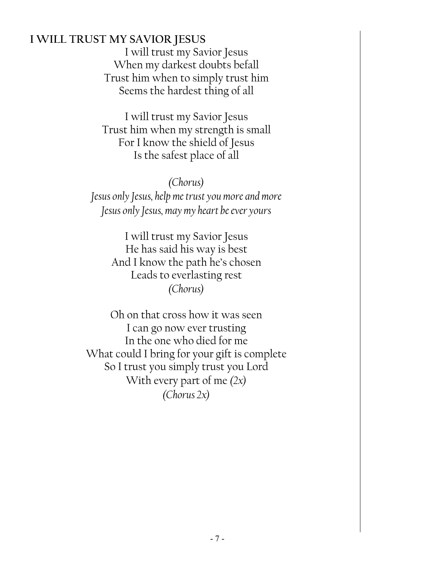#### **I WILL TRUST MY SAVIOR JESUS**

I will trust my Savior Jesus When my darkest doubts befall Trust him when to simply trust him Seems the hardest thing of all

I will trust my Savior Jesus Trust him when my strength is small For I know the shield of Jesus Is the safest place of all

*(Chorus)* 

*Jesus only Jesus, help me trust you more and more Jesus only Jesus, may my heart be ever yours* 

> I will trust my Savior Jesus He has said his way is best And I know the path he's chosen Leads to everlasting rest *(Chorus)*

Oh on that cross how it was seen I can go now ever trusting In the one who died for me What could I bring for your gift is complete So I trust you simply trust you Lord With every part of me *(2x) (Chorus 2x)*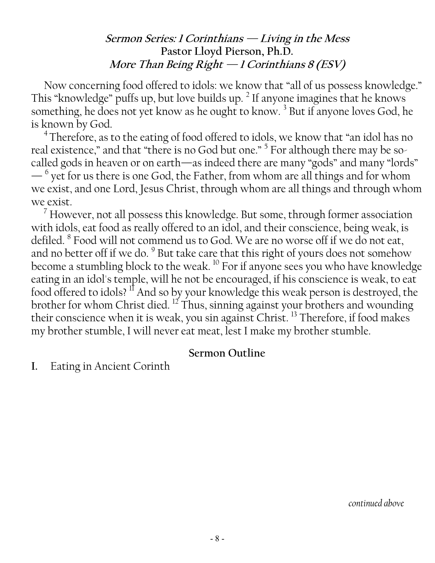### **Sermon Series: 1 Corinthians — Living in the Mess Pastor Lloyd Pierson, Ph.D. More Than Being Right — 1 Corinthians 8 (ESV)**

 Now concerning food offered to idols: we know that "all of us possess knowledge." This "knowledge" puffs up, but love builds up. <sup>2</sup> If anyone imagines that he knows something, he does not yet know as he ought to know.<sup>3</sup> But if anyone loves God, he is known by God.

<sup>4</sup> Therefore, as to the eating of food offered to idols, we know that "an idol has no real existence," and that "there is no God but one."  $^5$  For although there may be socalled gods in heaven or on earth—as indeed there are many "gods" and many "lords"  $-$ <sup>6</sup> yet for us there is one God, the Father, from whom are all things and for whom we exist, and one Lord, Jesus Christ, through whom are all things and through whom we exist.

 $7$  However, not all possess this knowledge. But some, through former association with idols, eat food as really offered to an idol, and their conscience, being weak, is defiled. <sup>8</sup> Food will not commend us to God. We are no worse off if we do not eat, and no better off if we do.  $^9$  But take care that this right of yours does not somehow become a stumbling block to the weak. <sup>10</sup> For if anyone sees you who have knowledge eating in an idol's temple, will he not be encouraged, if his conscience is weak, to eat food offered to idols?<sup>1</sup> And so by your knowledge this weak person is destroyed, the brother for whom Christ died. <sup>12</sup> Thus, sinning against your brothers and wounding their conscience when it is weak, you sin against Christ.<sup>13</sup> Therefore, if food makes my brother stumble, I will never eat meat, lest I make my brother stumble.

#### **Sermon Outline**

**I.** Eating in Ancient Corinth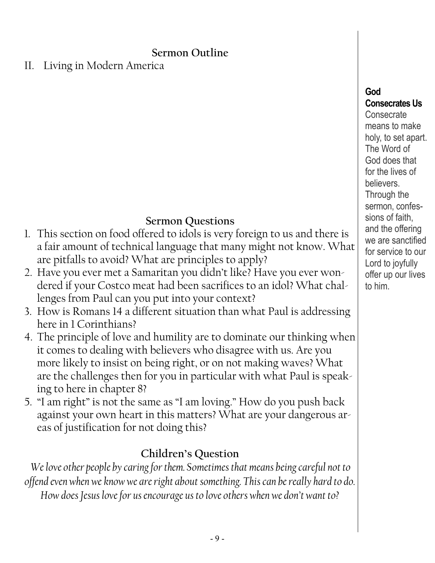## **Sermon Outline**

II. Living in Modern America

# **Sermon Questions**

- 1. This section on food offered to idols is very foreign to us and there is a fair amount of technical language that many might not know. What are pitfalls to avoid? What are principles to apply?
- 2. Have you ever met a Samaritan you didn't like? Have you ever wondered if your Costco meat had been sacrifices to an idol? What challenges from Paul can you put into your context?
- 3. How is Romans 14 a different situation than what Paul is addressing here in 1 Corinthians?
- 4. The principle of love and humility are to dominate our thinking when it comes to dealing with believers who disagree with us. Are you more likely to insist on being right, or on not making waves? What are the challenges then for you in particular with what Paul is speaking to here in chapter 8?
- 5. "I am right" is not the same as "I am loving." How do you push back against your own heart in this matters? What are your dangerous areas of justification for not doing this?

# **Children's Question**

 *We love other people by caring for them. Sometimes that means being careful not to offend even when we know we are right about something. This can be really hard to do. How does Jesus love for us encourage us to love others when we don't want to?*

**Consecrates Us Consecrate** means to make holy, to set apart. The Word of God does that for the lives of believers. Through the sermon, confessions of faith, and the offering we are sanctified for service to our Lord to joyfully offer up our lives to him.

**God**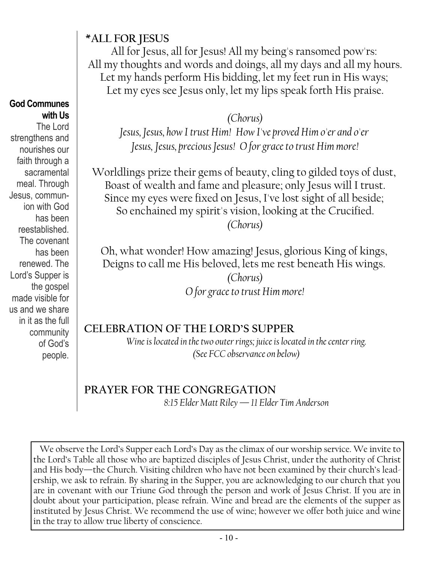## **\*ALL FOR JESUS**

All for Jesus, all for Jesus! All my being's ransomed pow'rs: All my thoughts and words and doings, all my days and all my hours. Let my hands perform His bidding, let my feet run in His ways; Let my eyes see Jesus only, let my lips speak forth His praise.

*(Chorus)*

*Jesus, Jesus, how I trust Him! How I've proved Him o'er and o'er Jesus, Jesus, precious Jesus! O for grace to trust Him more!*

Worldlings prize their gems of beauty, cling to gilded toys of dust, Boast of wealth and fame and pleasure; only Jesus will I trust. Since my eyes were fixed on Jesus, I've lost sight of all beside; So enchained my spirit's vision, looking at the Crucified. *(Chorus)*

Oh, what wonder! How amazing! Jesus, glorious King of kings, Deigns to call me His beloved, lets me rest beneath His wings. *(Chorus) O for grace to trust Him more!*

### **CELEBRATION OF THE LORD'S SUPPER**

*Wine is located in the two outer rings; juice is located in the center ring. (See FCC observance on below)* 

#### **PRAYER FOR THE CONGREGATION**  *8:15 Elder Matt Riley — 11 Elder Tim Anderson*

We observe the Lord's Supper each Lord's Day as the climax of our worship service. We invite to the Lord's Table all those who are baptized disciples of Jesus Christ, under the authority of Christ and His body—the Church. Visiting children who have not been examined by their church's leadership, we ask to refrain. By sharing in the Supper, you are acknowledging to our church that you are in covenant with our Triune God through the person and work of Jesus Christ. If you are in doubt about your participation, please refrain. Wine and bread are the elements of the supper as instituted by Jesus Christ. We recommend the use of wine; however we offer both juice and wine in the tray to allow true liberty of conscience.

#### **God Communes with Us**

The Lord strengthens and nourishes our faith through a sacramental meal. Through Jesus, communion with God has been reestablished. The covenant has been renewed. The Lord's Supper is the gospel made visible for us and we share in it as the full community of God's people.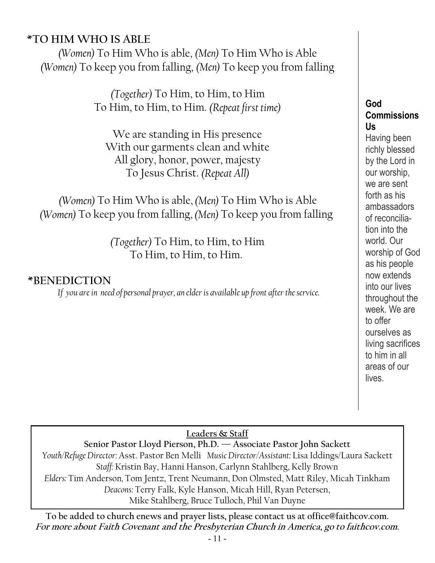#### **\*TO HIM WHO IS ABLE**

*(Women)* To Him Who is able, *(Men)* To Him Who is Able *(Women)* To keep you from falling, *(Men)* To keep you from falling

> *(Together)* To Him, to Him, to Him To Him, to Him, to Him. *(Repeat first time)*

We are standing in His presence With our garments clean and white All glory, honor, power, majesty To Jesus Christ. *(Repeat All)* 

*(Women)* To Him Who is able, *(Men)* To Him Who is Able *(Women)* To keep you from falling, *(Men)* To keep you from falling

> *(Together)* To Him, to Him, to Him To Him, to Him, to Him.

#### **\*BENEDICTION**

*If you are in need of personal prayer, an elder is available up front after the service.* 

#### **God Commissions Us**

Having been richly blessed by the Lord in our worship, we are sent forth as his ambassadors of reconciliation into the world. Our worship of God as his people now extends into our lives throughout the week. We are to offer ourselves as living sacrifices to him in all areas of our lives.

#### **Leaders & Staff**

**Senior Pastor Lloyd Pierson, Ph.D. — Associate Pastor John Sackett**  *Youth/Refuge Director:* Asst. Pastor Ben Melli *Music Director/Assistant:* Lisa Iddings/Laura Sackett *Staff:* Kristin Bay, Hanni Hanson, Carlynn Stahlberg, Kelly Brown *Elders:* Tim Anderson*,* Tom Jentz, Trent Neumann, Don Olmsted, Matt Riley, Micah Tinkham *Deacons:* Terry Falk, Kyle Hanson, Micah Hill, Ryan Petersen, Mike Stahlberg, Bruce Tulloch, Phil Van Duyne

**To be added to church enews and prayer lists, please contact us at office@faithcov.com. For more about Faith Covenant and the Presbyterian Church in America, go to faithcov.com.**